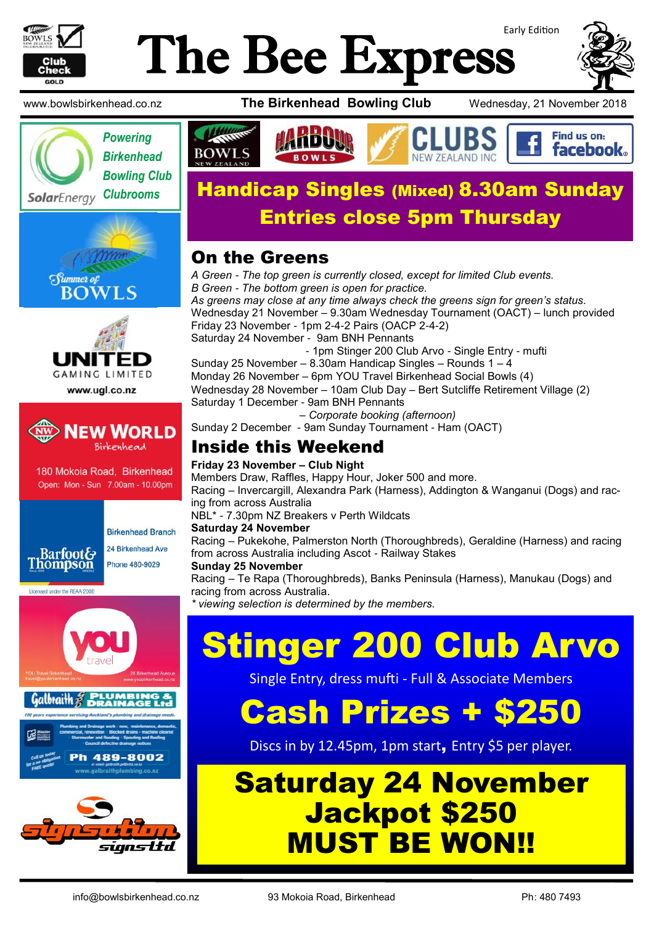

## Early Edition The Bee Express









www.ugl.co.nz



180 Mokoia Road, Birkenhead Open: Mon - Sun 7.00am - 10.00pm



**Birkenhead Branch** 24 Birkenhead Ave Phone 480-9029

Licensed under the REAA 2008



www.bowlsbirkenhead.co.nz **The Birkenhead Bowling Club** Wednesday, 21 November 2018





## *Clubrooms* Handicap Singles (Mixed) 8.30am Sunday Entries close 5pm Thursday

#### On the Greens

*A Green - The top green is currently closed, except for limited Club events. B Green - The bottom green is open for practice. As greens may close at any time always check the greens sign for green's status.* Wednesday 21 November – 9.30am Wednesday Tournament (OACT) – lunch provided Friday 23 November - 1pm 2-4-2 Pairs (OACP 2-4-2) Saturday 24 November - 9am BNH Pennants - 1pm Stinger 200 Club Arvo - Single Entry - mufti Sunday 25 November – 8.30am Handicap Singles – Rounds 1 – 4 Monday 26 November – 6pm YOU Travel Birkenhead Social Bowls (4) Wednesday 28 November – 10am Club Day – Bert Sutcliffe Retirement Village (2) Saturday 1 December - 9am BNH Pennants – *Corporate booking (afternoon)* Sunday 2 December - 9am Sunday Tournament - Ham (OACT)

### Inside this Weekend

#### **Friday 23 November – Club Night**

Members Draw, Raffles, Happy Hour, Joker 500 and more. Racing – Invercargill, Alexandra Park (Harness), Addington & Wanganui (Dogs) and racing from across Australia NBL\* - 7.30pm NZ Breakers v Perth Wildcats **Saturday 24 November** Racing – Pukekohe, Palmerston North (Thoroughbreds), Geraldine (Harness) and racing from across Australia including Ascot - Railway Stakes

#### **Sunday 25 November**

Racing – Te Rapa (Thoroughbreds), Banks Peninsula (Harness), Manukau (Dogs) and racing from across Australia.

*viewing selection is determined by the members.* 

# Stinger 200 Club Arvo

Single Entry, dress mufti - Full & Associate Members

# Cash Prizes + \$250

Discs in by 12.45pm, 1pm start, Entry \$5 per player.

## Saturday 24 November Jackpot \$250 MUST BE WON!!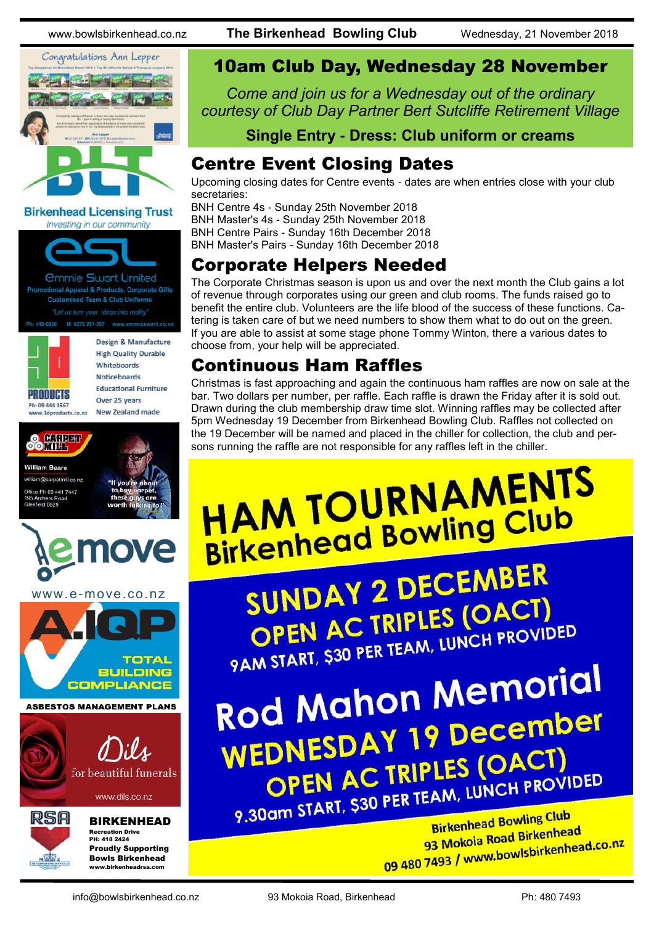





*<u>Ommie Swart Limited</u>* otional Apparel & Products, Corporate Gifts **Customised Team & Club Uniforms** 

Ph: 419-0926 M: 0275 297-297 www.emmieswart.co.n



Design & Manufacture **High Quality Durable** Whiteboards **Noticeboards Educational Furniture** Over 25 years New Zealand made

**88 Hill Bar William Reare** american diagnosis e Ph 09 441 7447 field 0820 ove www.e-move.co.nz **TOTAL BUILDING COMPLIANCE ASBESTOS MANAGEMENT PLANS** Dils for beautiful funerals www.dils.co.nz RSA BIRKENHEAD Recreation Drive PH: 418 2424 Proudly Supporting

#### 10am Club Day, Wednesday 28 November

*Come and join us for a Wednesday out of the ordinary courtesy of Club Day Partner Bert Sutcliffe Retirement Village* 

**Single Entry - Dress: Club uniform or creams**

#### Centre Event Closing Dates

Upcoming closing dates for Centre events - dates are when entries close with your club secretaries:

BNH Centre 4s - Sunday 25th November 2018 BNH Master's 4s - Sunday 25th November 2018 BNH Centre Pairs - Sunday 16th December 2018 BNH Master's Pairs - Sunday 16th December 2018

#### Corporate Helpers Needed

The Corporate Christmas season is upon us and over the next month the Club gains a lot of revenue through corporates using our green and club rooms. The funds raised go to benefit the entire club. Volunteers are the life blood of the success of these functions. Catering is taken care of but we need numbers to show them what to do out on the green. If you are able to assist at some stage phone Tommy Winton, there a various dates to choose from, your help will be appreciated.

#### Continuous Ham Raffles

Christmas is fast approaching and again the continuous ham raffles are now on sale at the bar. Two dollars per number, per raffle. Each raffle is drawn the Friday after it is sold out. Drawn during the club membership draw time slot. Winning raffles may be collected after 5pm Wednesday 19 December from Birkenhead Bowling Club. Raffles not collected on the 19 December will be named and placed in the chiller for collection, the club and persons running the raffle are not responsible for any raffles left in the chiller.

# **HAM TOURNAMENTS** HAM TOURNAISSEN

SUNDAY 2 DECEMBER OPEN AC TRIPLES (OACT) OPEN AC TRIPLES (UNCH PROVIDED

Rod Mahon Memorial WEDNESDAY 19 December<br>WEDNESDAY 19 December OPEN AC TRIPLES (OACT) 9.30am START, \$30 PER TEAM, LUNCH PROVIDED

Birkenhead Bowling Club Birkenhead Bowling<br>93 Mokoia Road Birkenhead 93 Mokoja Road Birkenneau<br>09 480 7493 / www.bowlsbirkenhead.co.nz

Bowls Birkenhead www.birkenheadrsa.com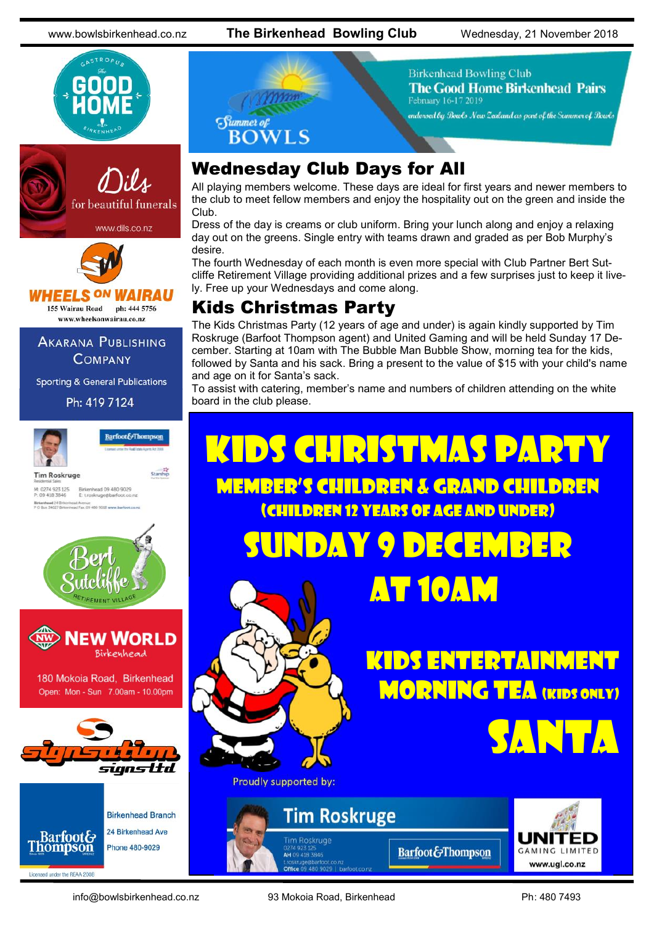www.bowlsbirkenhead.co.nz **The Birkenhead Bowling Club** Wednesday, 21 November 2018









www.wheelsonwairau.co.nz

**AKARANA PUBLISHING COMPANY** 

**Sporting & General Publications** 





180 Mokoia Road, Birkenhead Open: Mon - Sun 7.00am - 10.00pm





**Birkenhead Branch** 24 Birkenhead Ave Phone 480-9029



**Birkenhead Bowling Club The Good Home Birkenhead Pairs** February 16-17 2019 endorsed by Bouds New Zealand as part of the Summer of Bowls

### Wednesday Club Days for All

All playing members welcome. These days are ideal for first years and newer members to the club to meet fellow members and enjoy the hospitality out on the green and inside the Club.

Dress of the day is creams or club uniform. Bring your lunch along and enjoy a relaxing day out on the greens. Single entry with teams drawn and graded as per Bob Murphy's desire.

The fourth Wednesday of each month is even more special with Club Partner Bert Sutcliffe Retirement Village providing additional prizes and a few surprises just to keep it lively. Free up your Wednesdays and come along.

#### Kids Christmas Party

The Kids Christmas Party (12 years of age and under) is again kindly supported by Tim Roskruge (Barfoot Thompson agent) and United Gaming and will be held Sunday 17 December. Starting at 10am with The Bubble Man Bubble Show, morning tea for the kids, followed by Santa and his sack. Bring a present to the value of \$15 with your child's name and age on it for Santa's sack.

To assist with catering, member's name and numbers of children attending on the white board in the club please.

## Kids Christmas party Member's children & grand children (children 12 years of age and under) Sunday 9 December At 10am Kids Entertainment **MORNING TEA (KIDS ONLY)** S**anta** Proudly supported by: **Tim Roskruge** .<br>Tim Roskruge **Barfoot&Thompson GAMING LIMITED** 0274 923 125<br>**AH** 09 418 3846

info@bowlsbirkenhead.co.nz 93 Mokoia Road, Birkenhead Ph: 480 7493

www.ugl.co.nz